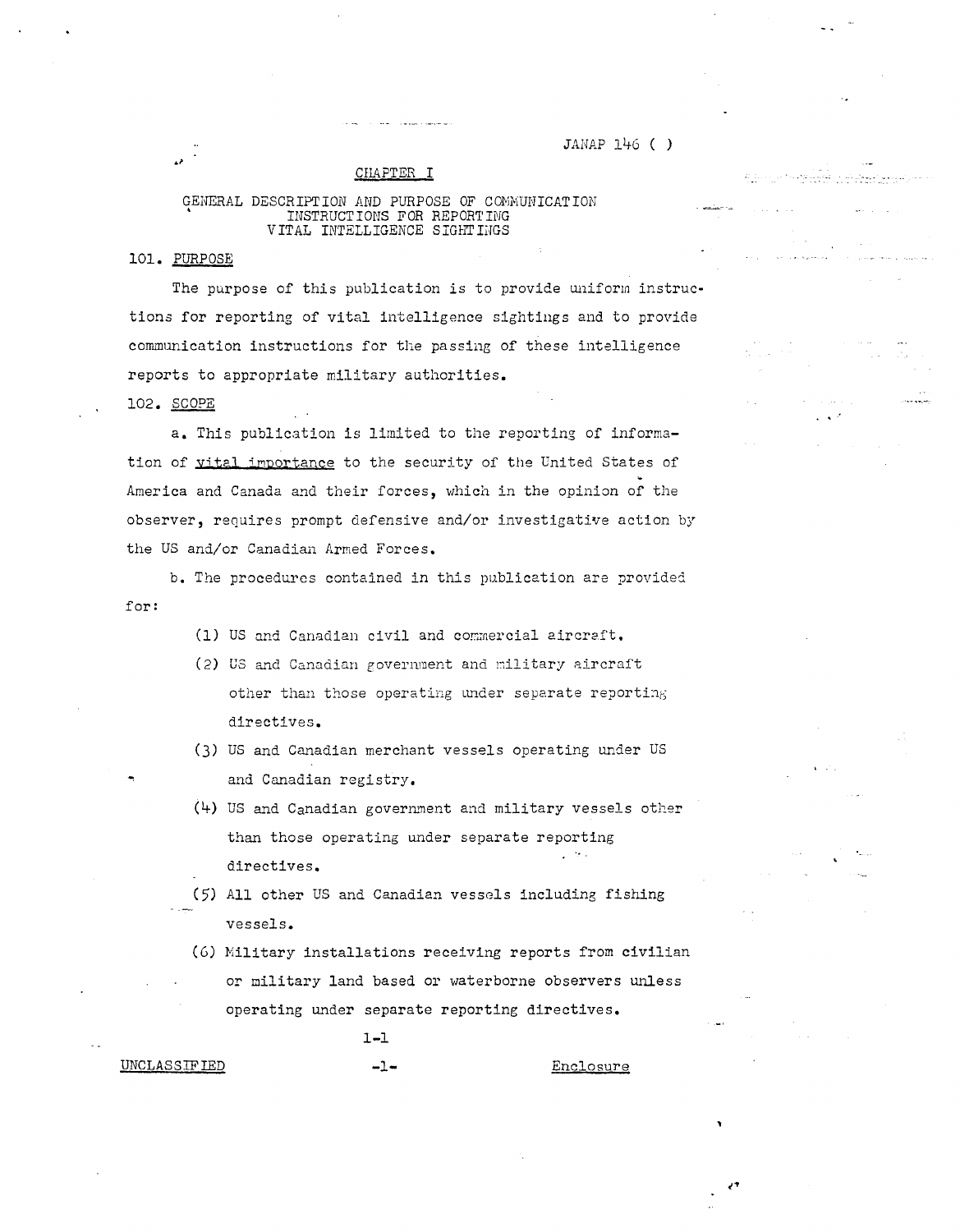JANAP 146 ( )

ري.<br>مواليد دومان

CHAPTER I

# GENERAL DESCRIPTION AND PURPOSE OF COMMUNICATION<br>INSTRUCTIONS FOR REPORTING<br>VITAL INTELLIGENCE SIGHTINGS

#### 101. PURPOSE

The purpose of this publication is to provide uniform instructions for reporting of vital intelligence sightings and to provide communication instructions for the passing of these intelligence reports to appropriate military authorities.

102. SCOPE

a. This publication is limited to the reporting of information of yital importance to the security of the United States of America and Canada and their forces, which in the opinion of the observer, requires prompt defensive and/or investigative action by the US and/or Canadian Armed Forces.

b. The procedures contained in this publication are provided for:

- (1) US and Canadian civil and commercial aircraft.
- (2) US and Canadian government and military aircraft other than those operating under separate reporting directives.
- (3) US and Canadian merchant vessels operating under US and Canadian registry.
- (4) US and Canadian government and military vessels other than those operating under separate reporting directives.
- (5) All other US and Canadian vessels including fishing vessels.
- (6) Military installations receiving reports from civilian or military land based or waterborne observers unless operating under separate reporting directives.

 $1 - 1$  $-1-$ 

**UNCLASSIFIED** 

Enclosure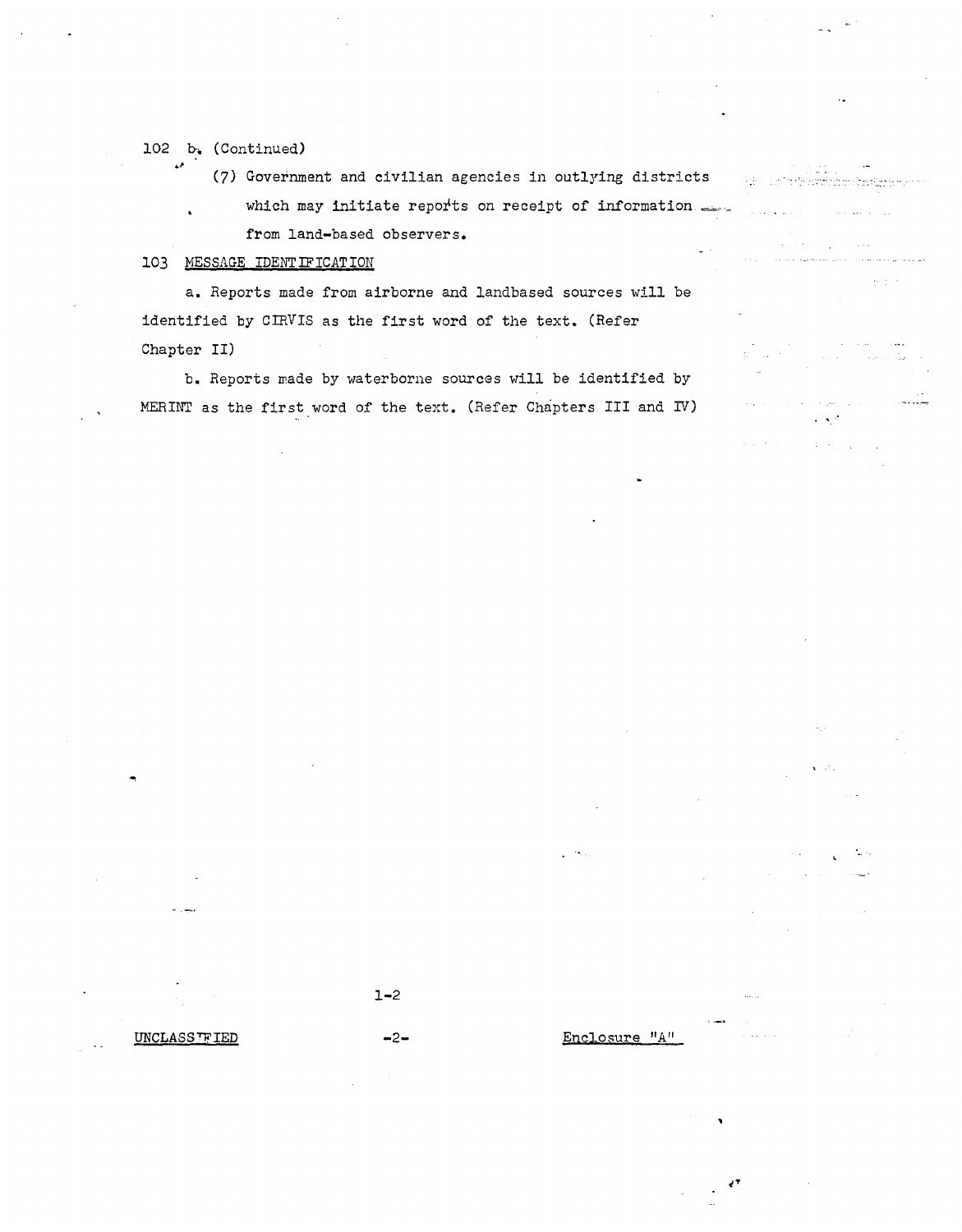# 102 b. (Continued)

 $\overrightarrow{P}$ 

(7) Government and civilian agencies in outlying districts

which may initiate reports on receipt of information from land-based observers.

# 103 MESSAGE IDENTIFICATION

a. Reports made from airborne and landbased sources will be identified by CIRVIS as the first word of the text. (Refer Chapter II)

b. Reports made by waterborne sources will be identified by MERINT as the first word of the text. (Refer Chapters III and IV)  $\Omega = 10^{-12}$ 

سأدعس

المستقل المديرة الإيرانية والمستقل المدارية والمتحدة المتحدة المستقلة المستقل المقارنة.<br>المستقل المديرة الإيرانية المديرة المستقلة المتحدة المتحدة المتحدة المستقلة المستقلة المستقلة المستقلة المستقل

أأبد المستفاد فحالف

 $\sim 10^{-1}$  $\mathcal{L}(\mathcal{L})$  , we have  $\mathcal{L}_{\mathrm{L}}$  and  $\mathcal{L}_{\mathrm{L}}$  and  $\mathcal{L}_{\mathrm{L}}$ 

 $1 - 2$ 

 $-2-$ 

Enclosure "A"

UNCLASS TF IED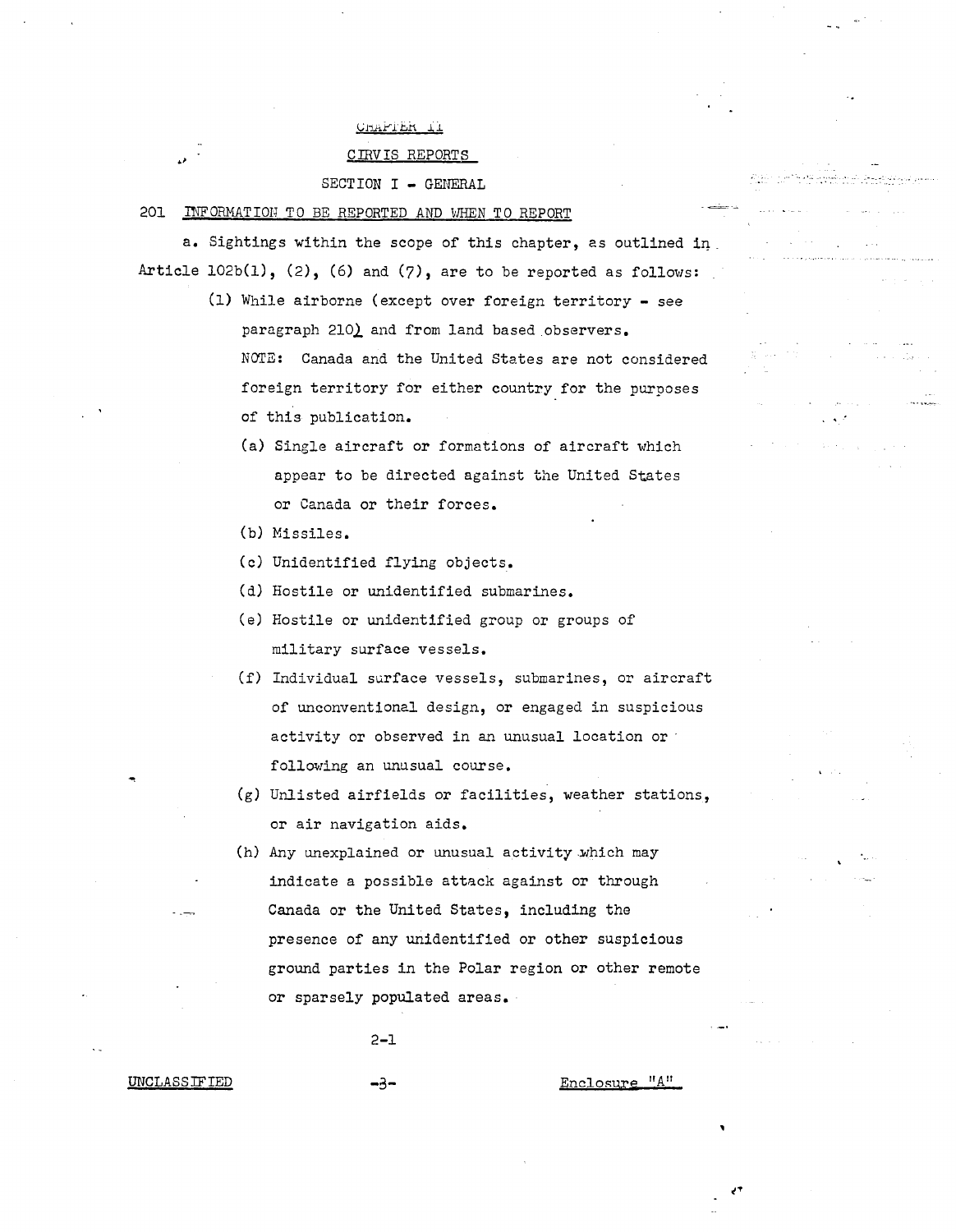# CHAPTER II

#### CIRVIS REPORTS

#### SECTION I - GENERAL

201 INFORMATION TO BE REPORTED AND WHEN TO REPORT

a. Sightings within the scope of this chapter, as outlined in Article  $102b(1)$ ,  $(2)$ ,  $(6)$  and  $(7)$ , are to be reported as follows:

> (1) While airborne (except over foreign territory - see paragraph 210) and from land based observers. NOTE: Canada and the United States are not considered foreign territory for either country for the purposes of this publication.

.<br>.. برتي به جا

- (a) Single aircraft or formations of aircraft which appear to be directed against the United States or Canada or their forces.
- (b) Missiles.
- (c) Unidentified flying objects.
- (d) Hostile or unidentified submarines.
- (e) Hostile or unidentified group or groups of military surface vessels.
- (f) Individual surface vessels, submarines, or aircraft of unconventional design, or engaged in suspicious activity or observed in an unusual location or following an unusual course.
- (g) Unlisted airfields or facilities, weather stations, or air navigation aids.
- (h) Any unexplained or unusual activity which may indicate a possible attack against or through Canada or the United States, including the presence of any unidentified or other suspicious ground parties in the Polar region or other remote or sparsely populated areas.

-3- Enclosure "A"

2-1

UNCLASSIFIED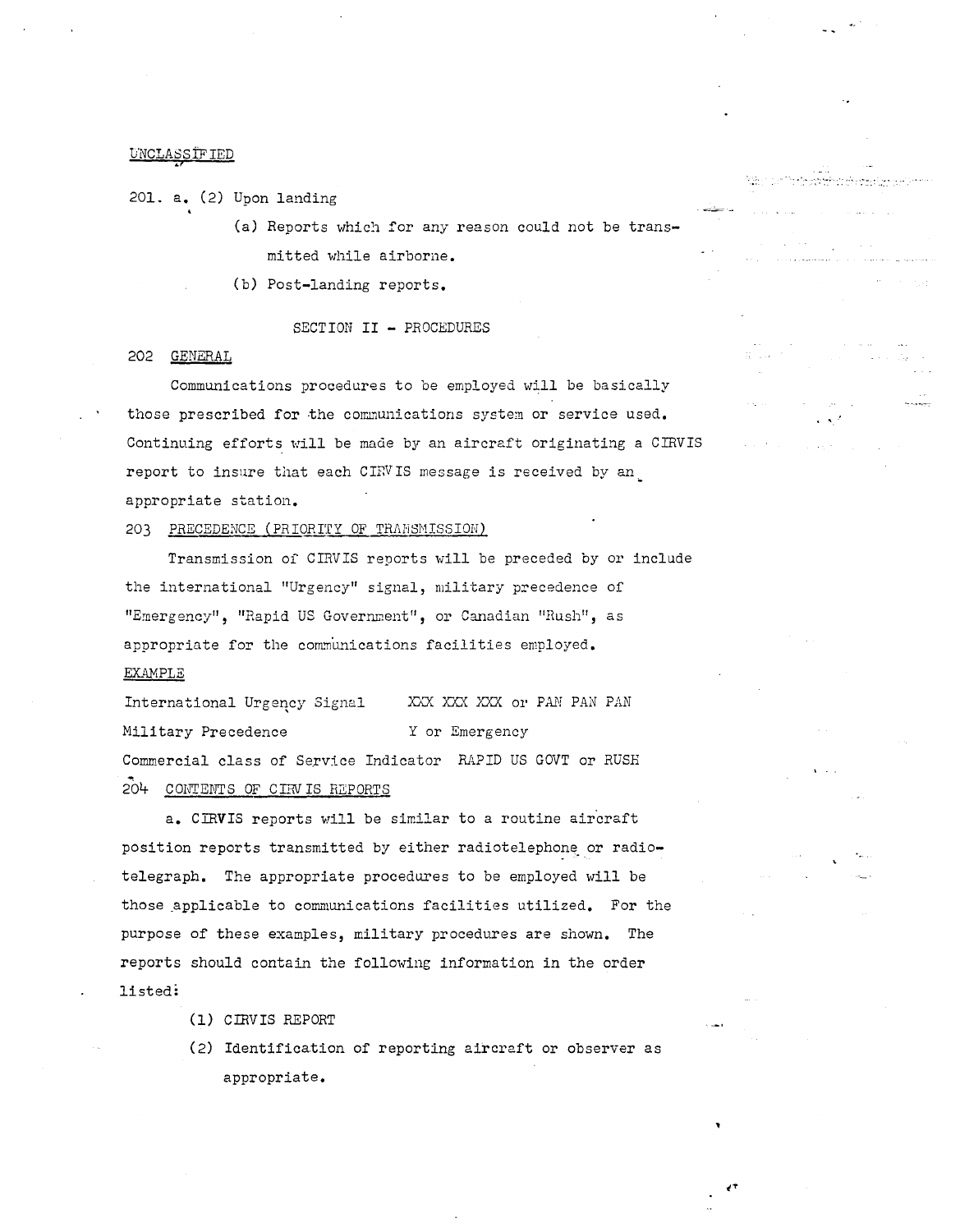201. a. (2) Upon landing

(a) Reports which for any reason could not be transmitted while airborne.

- ....<br>- .... , .... , .... , ...

~--

(b) Post-landing reports.

# SECTION II - PROCEDURES

#### 202 GENERAL

Communications procedures to be employed will be basically those prescribed for the communications system or service used. Continuing efforts will be made by an aircraft originating a CIRVIS report to insure that each CIRVIS message is received by an appropriate station.

#### 203 PRECEDENCE (PRIORITY OF TRANSMISSION)

Transmission oi' CIRVIS reports will be preceded by or include the international "Urgency" signal, military precedence of "Emergency", "Rapid US Government", or Canadian "Rush", as appropriate for the communications facilities employed. **EXAMPLE** 

International Urgency Signal XXX XXX XXX or PAN PAN PAN Military Precedence Y or Emergency Commercial class of Service Indicator RAPID US GOVT or RUSH 204 CONTENTS OF CIRVIS REPORTS

a. CIRVIS reports will be similar to a routine aircraft position reports transmitted by either radiotelephone or radiotelegraph. The appropriate procedures to be employed will be those applicable to communications facilities utilized. For the purpose of these examples, military procedures are shown. The reports should contain the following information in the order listed:

- (1) CIRVIS HEPORT
- (2) Identification of reporting aircraft or observer as appropriate.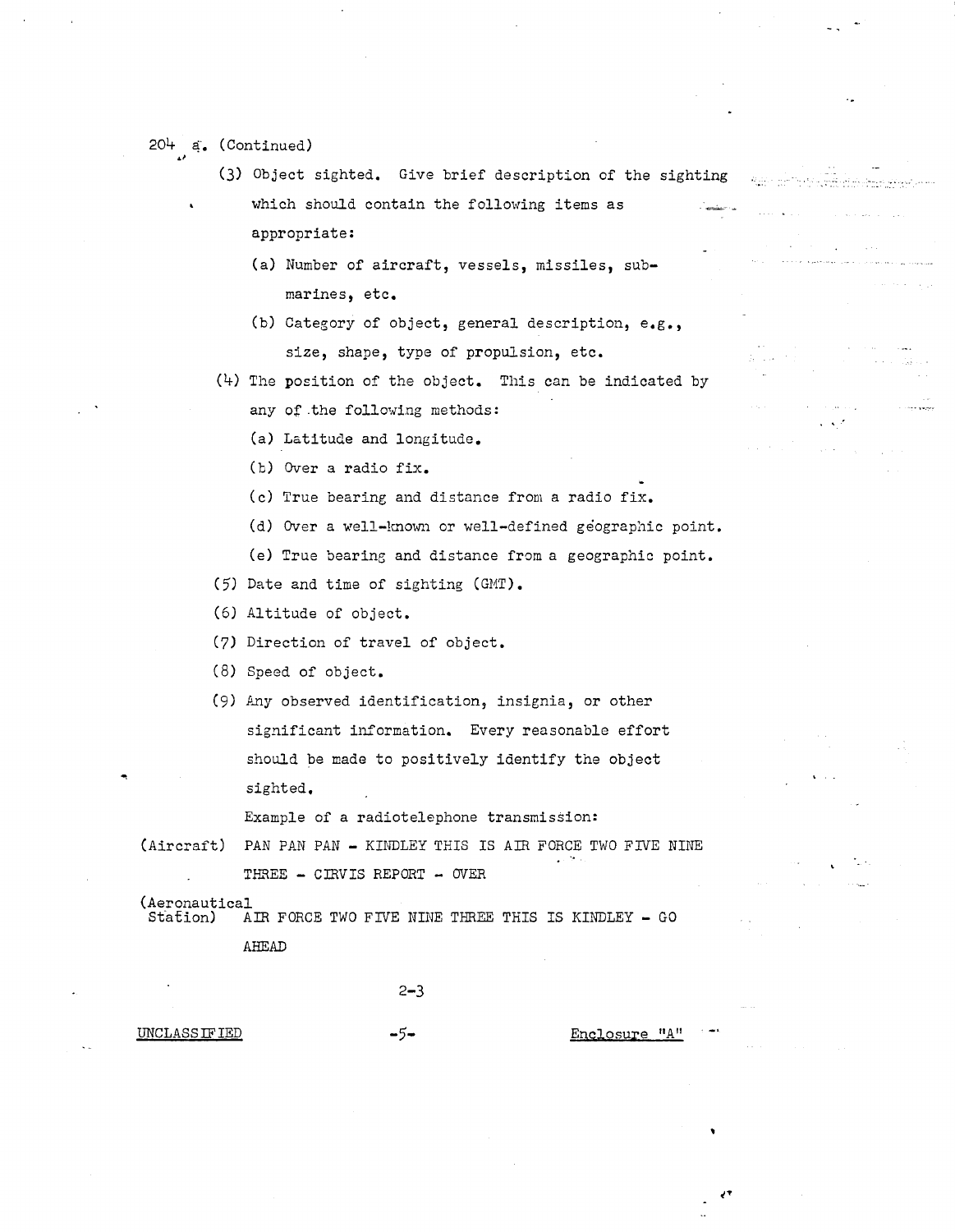# $204$   $a.$  (Continued)

(3) Object sighted. Give brief description of the sighting which should contain the following items as appropriate:

تمايدنا وبالوارد والراقي وأوالي والراموز

- (a) Number of aircraft, vessels, missiles, submarines, etc.
- (b) Category of object, general description, e.g., size, shape, type of propulsion, etc.
- (4) The position of the object. This can be indicated by
	- any of .the following methods:
	- (a) Latitude and longitude.
	- (b) Over a radio fix.
	- (c) True bearing and distance from a radio fix.
	- (d) Over a well-known or well-defined geographic point.
	- (e) True bearing and distance from a geographic point.

(5) Date and time of sighting (GMT).

(6) Altitude of object.

(7) Direction of travel of object.

(8) Speed of object.

(9) Any observed identification, insignia, or other significant information. Every reasonable effort should be made to positively identify the object sighted.

Example of a radiotelephone transmission:

(Aircraft) PAN PAN PAN - KINDLEY THIS IS AIR FORCE TWO FIVE NINE THREE - CIRVIS REPORT - OVER

(Aeronautical<br>Station) A AIR FORCE TWO FIVE NINE THREE THIS IS KINDLEY - GO AHEAD

2-3

#### UNCLASSIFIED -5- Enclosure "A"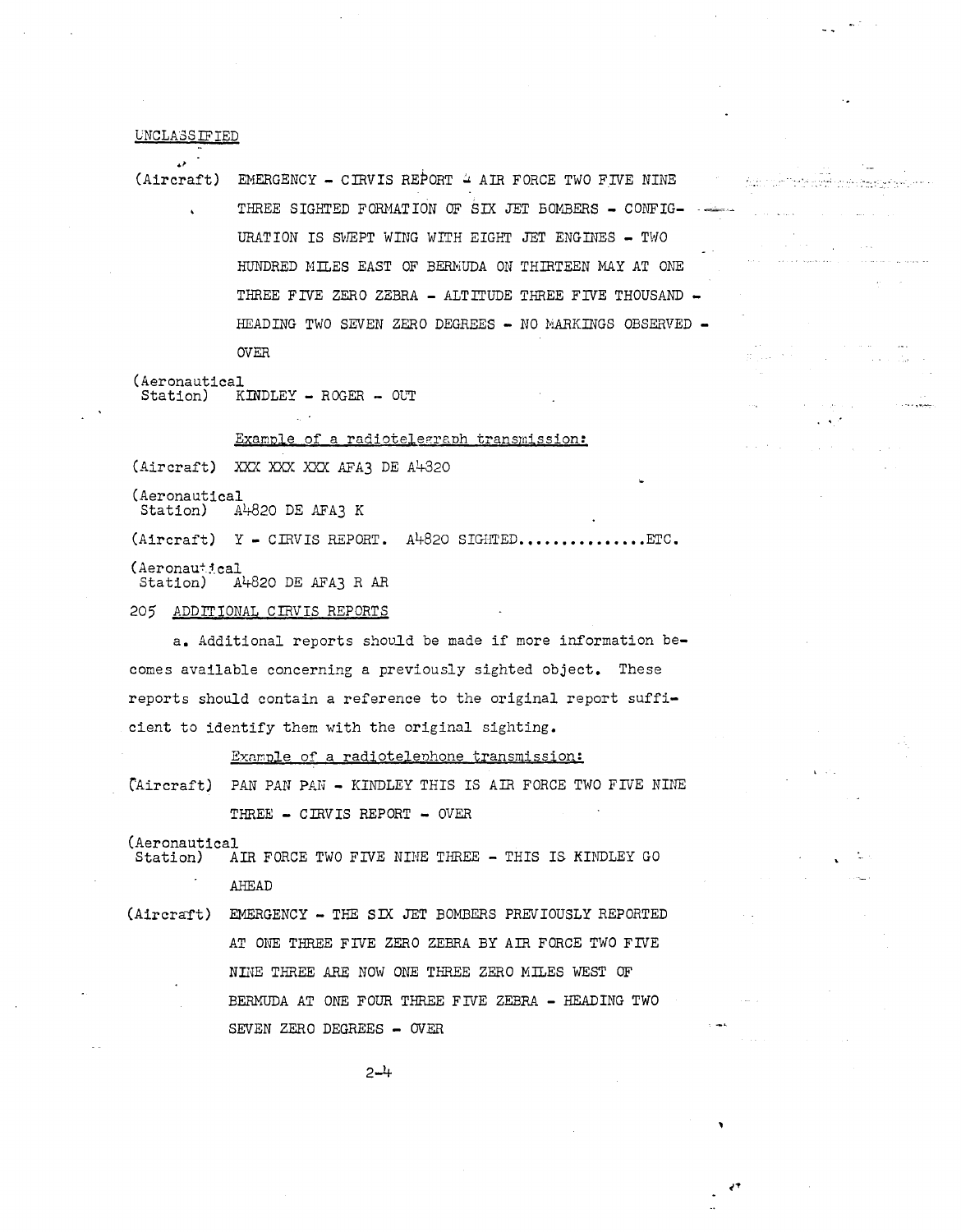#### VNCLA.3SIFIED

•' (Aircraft) EMERGENCY - CIRVIS REPORT ~ AIR FORCE TWO FIVE NINE THREE SIGHTED FORMATION OF SIX JET BOMBERS - CONFIG-URATION IS SWEPT WING WITH EIGHT JET ENGINES - TWO HUNDRED MILES EAST OF BERMUDA ON THIRTEEN MAY AT ONE THREE FIVE ZERO ZEBRA - ALTITUDE THREE FIVE THOUSAND -HEADING TWO SEVEN ZERO DEGREES - NO MARKINGS OBSERVED -OVER

المواقبا ويعودونها والمراجية

للمبروع والمحاملات

(Aeronautical  $Station)$  KINDLEY - ROGER - OUT

Example of a radiotelegraph transmission:

(Aircraft) XXX XXX XXX AFA3 DE A4320

(Aeronautical Station) A4820 DE AFA3 K

 $(Aircraft) Y - CIRVIS REPORT. A<sup>1</sup>+820 SIGHTED.$ 

(Aeronautical<br>Station) A

 $A4820$  DE AFA3 R AR

205 ADDITIONAL CIRVIS REPORTS

a. Additional reports shouid be made if more information becomes available concerning a previously sighted object. These reports should contain a reference to the original report sufficient to identify them with the original sighting.

Example of a radiotelephone transmission:

CAircraft) PAN PAN PAN - KINDLEY THIS IS AIR FORCE TWO FIVE NINE THREE - CIRVIS REPORT - OVER

(Aeronautical<br>Station) A

AIR FORCE TWO FIVE NINE THREE - THIS IS KINDLEY GO AHEAD

```
(Aircraft) EMERGENCY - THE SIX JET BOMBERS PREVIOUSLY REPORTED
AT ONE THREE FIVE ZERO ZEBRA BY AIR FORCE TWO FIVE 
NINE THREE ARE NOW ONE THREE ZERO MILES WEST OF 
BERMUDA AT ONE FOUR THREE FIVE ZEBRA - HEADING TWO
SEVEN ZERO DEGREES - OVER
```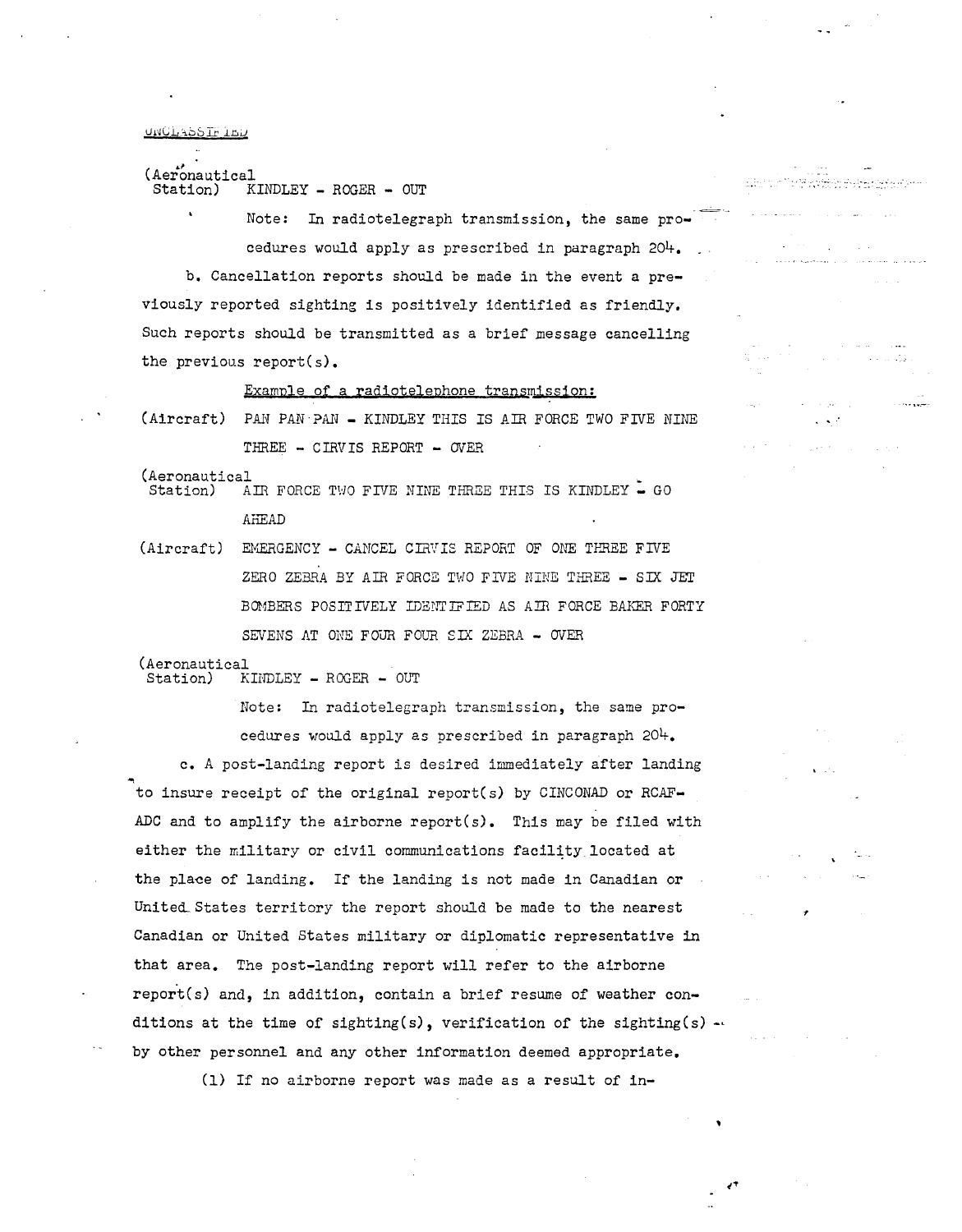UNULASSIF ILU

#### (Aeronautical<br>Station) K  $KINDLEX - ROGER - OUT$

Note: In radiotelegraph transmission, the same procedures would apply as prescribed in paragraph 204. ·=· ·- دی کی پردهایت و سیمایی کنده برادشگاه به باز ها مرح ۲۰۰۱<br>در این دیگر دیگر به میران و این دی برادر ۱۳۸۸ و این این

b. Cancellation reports should be made in the event a previously reported sighting is positively identified as friendly. Such reports should be transmitted as a brief message cancelling the previous report(s).

Example of a radiotelephone transmission:

(Aircraft) PAN PAN - AINDLEY THIS IS AIR FORCE TWO FIVE NINE THREE  $-$  CIRVIS REPORT  $-$  OVER

(Aeronautical<br>Station) A

AIR FORCE TWO FIVE NINE THREE THIS IS KINDLEY  $\sim$  GO AHEAD

(Aircraft) EMERGENCY - CANCEL CIRVIS REPORT OF ONE THREE FIVE ZERO ZEBRA BY AIR FORCE TWO FIVE NINE THREE - SIX JET BOMBERS POSITIVELY IDENTIFIED AS AIR FORCE BAKER FORTY SEVENS AT ONE FOUR FOUR SIX ZEBRA - OVER

# (Aeronautical<br>Station) K

KINDLEY - ROGER - OUT

Note: In radiotelegraph transmission, the same procedures would apply as prescribed in paragraph 204. c. A post-landing report is desired immediately after landing to insure receipt of the original report(s) by CINCONAD or RCAF-ADC and to amplify the airborne report(s). This may be filed with either the military or civil communications facility located at the place of landing. If the landing is not made in Canadian or United States territory the report should be made to the nearest Canadian or United States military or diplomatic representative in that area. The post-landing report will refer to the airborne report(s) and, in addition, contain a brief resume of weather conditions at the time of sighting(s), verification of the sighting(s)  $$ by other personnel and any other information deemed appropriate.

(1) If no airborne report was made as a result of in-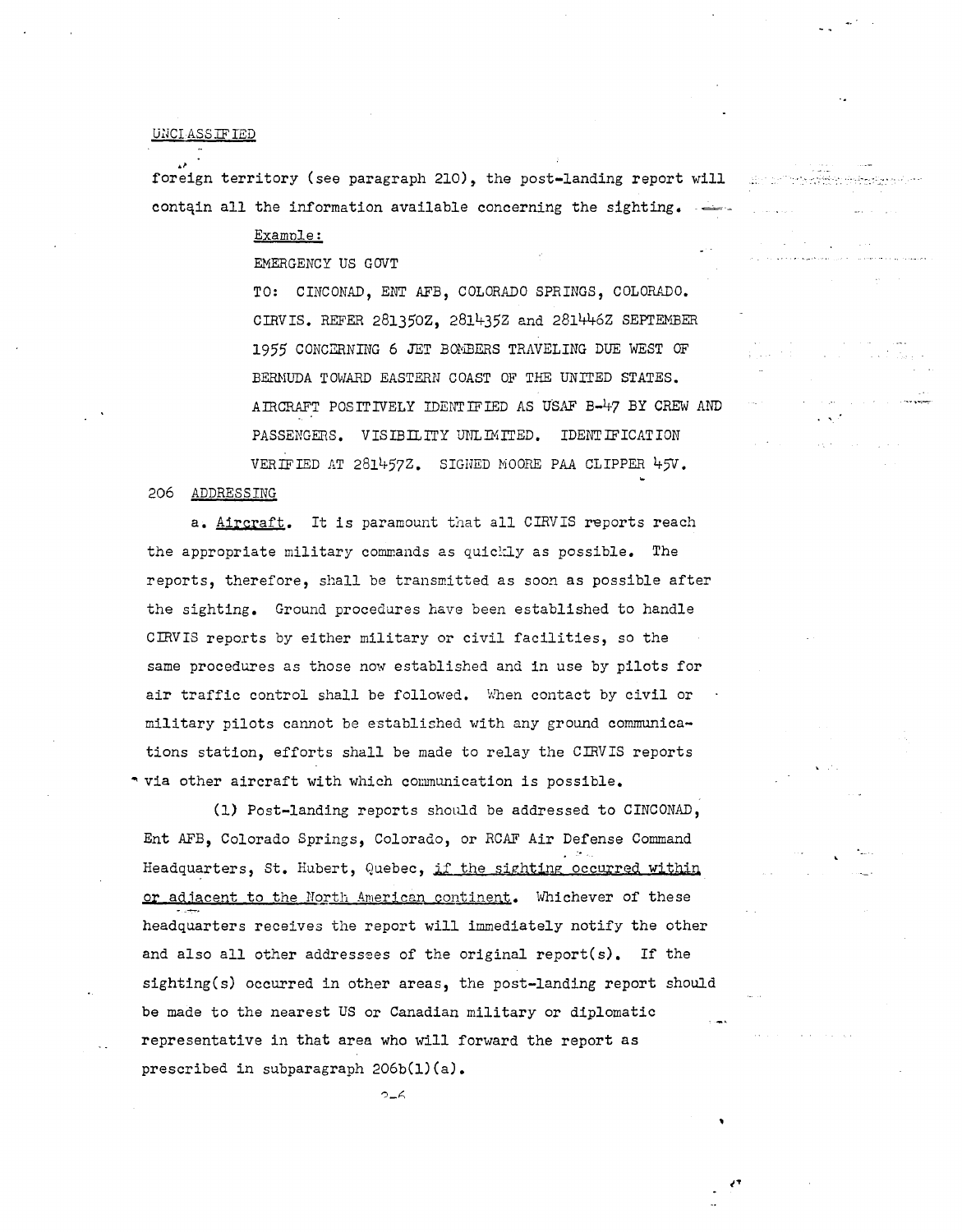# UNCIASS IF IED

foreign territory (see paragraph 210), the post-landing report will contain all the information available concerning the sighting.  $\rightarrow$ 

Examnle:

EMERGENCY US GOVT

TO: CINCONAD, ENT AFB, COLORADO SPRINGS, COLORADO. CIRVIS. REFER 281350Z, 2814352 and 2814462 SEPTEViBER 1955 CONCERNING 6 JET BOiviBERS TRAVELING DUE WEST OF BERHUDA TOWARD EASTERN COAST OF THE UNITED STATES. AIRCRAFT POSITIVELY IDENTIFIED AS USAF B-47 BY CREW AND PASSENGERS. VISIBILITY UNLIMITED. IDENTIFICATION VERIFIED AT 281457Z. SIGNED MOORE PAA CLIPPER 45V.

'·

206 ADDRESSING

a. Aircraft. It is paramount that all CIRVIS reports reach the appropriate military commands as quickly as possible. The reports, therefore, shall be transmitted as soon as possible after the sighting. Ground procedures have been established to handle CIRVIS reports by either military or civil facilities, so the same procedures as those now established and in use by pilots for air traffic control shall be followed. When contact by civil or military pilots cannot be established with any ground communications station, efforts shall be made to relay the CIBVIS reports \* via other aircraft with which communication is possible.

(1) Post-landing reports should be addressed to CINCONAD, Ent AFB, Colorado Springs, Colorado, or RCAF Air Defense Command Headquarters, St. Hubert, Quebec, if the sighting occurred within or adjacent to the North American continent. Whichever of these headquarters receives the report will immediately notify the other and also all other addressees of the original report(s). If the sighting(s) occurred in other areas, the post-landing report should be made to the nearest US or Canadian military or diplomatic representative in that area who will forward the report as prescribed in subparagraph 206b(l)(a).

 $2-6$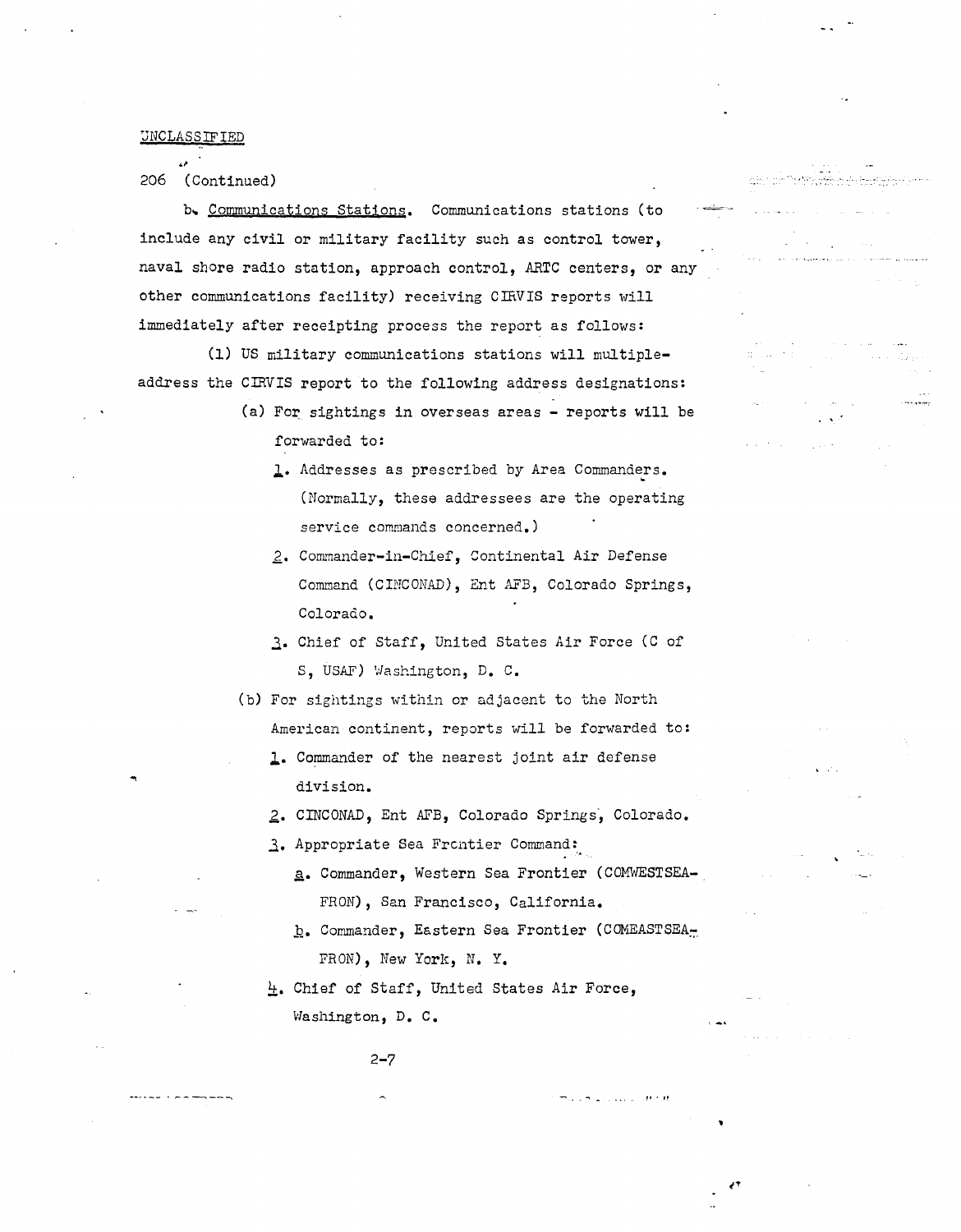'JNCLASSIFIED

206 (Continued)

b. Communications Stations. Communications stations (to include any civil or military facility such as control tower, naval shore radio station, approach control, ARTC centers, or any other communications facility) receiving CifiVIS reports will immediately after receipting process the report as follows:

(1) US military communications stations will multipleaddress the CIRVIS report to the following address designations:

- (a) For sightings in overseas areas reports will be forwarded to:
	- 1. Addresses as prescribed by Area Commanders. (Normally, these addressees are the operating service commands concerned.)
	- 2,. Commander-in-Chief, Continental Air Defense Command (CINCONAD), Ent AFB, Colorado Springs, Colorado.
	- 3. Chief of Staff, United States Air Force (C of *s,* USAF) Washington, D. c.
- (b) For sightings within or adjacent to the North American continent, reports will be forwarded to:
	- l· Commander of the nearest joint air defense division.
	- *z.* CINCONAD, Ent AFB, Colorado Springs·, Colorado.
	- 3. Appropriate Sea Frcntier Command:
		- a. Commander, Western Sea Frontier (COMWESTSEA-FRON), San Francisco, California.
		- b. Commander, Eastern Sea Frontier (COMEASTSEA<sub>n</sub> FRON), New York, N. Y.

,, . "

-- ...... .

4. Chief of Staff, United States Air Force, Washington, D. c.

2-7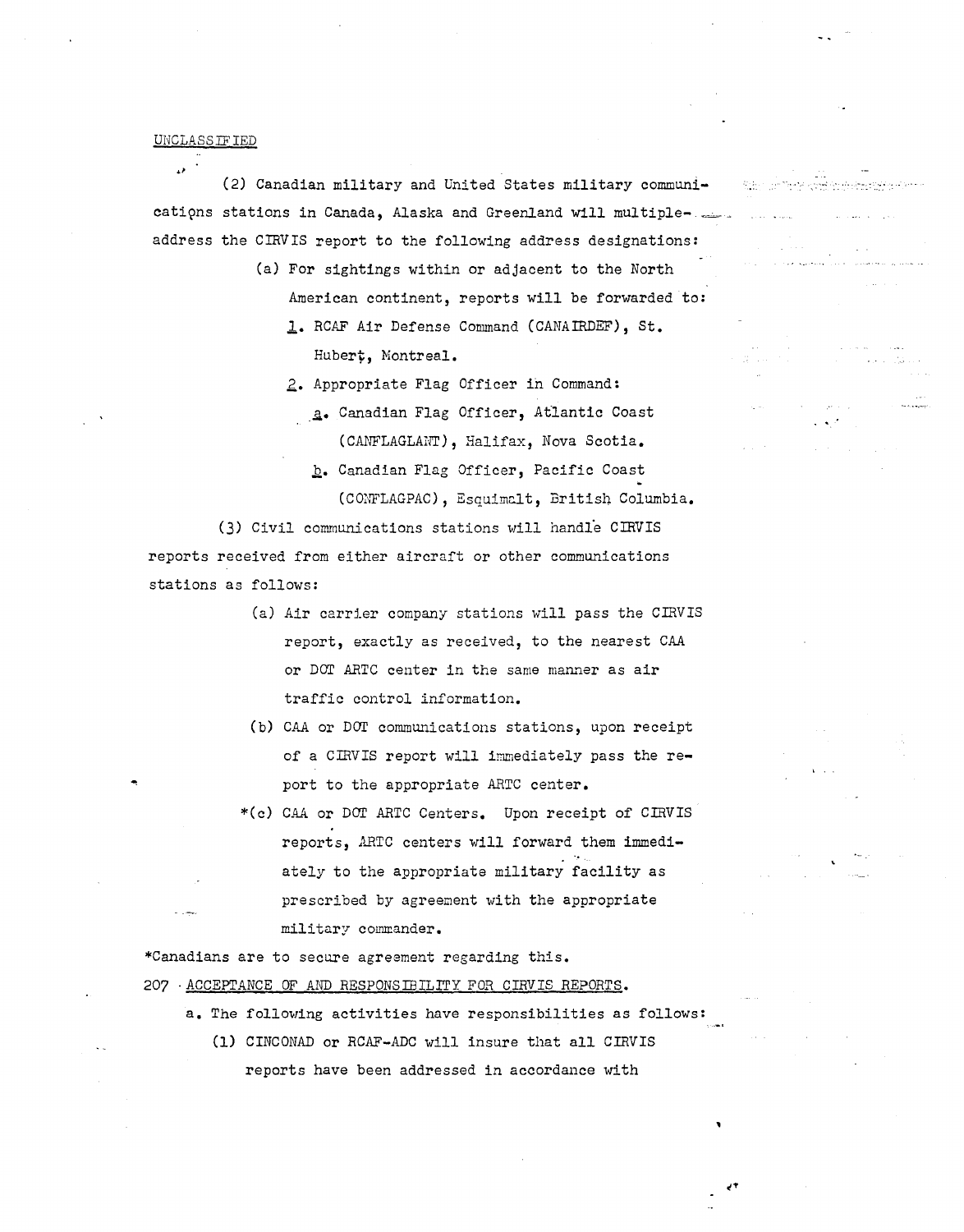#### UNCLASS.ITIED

(2) Canadian military and United States military communications stations in Canada, Alaska and Greenland will multipleaddress the CIRVIS report to the following address designations:

- (a) For sightings within or adjacent to the North American continent, reports will be forwarded to: 1. RCAF Air Defense Command (CANAIRDEF), St. Hubert, Montreal.
	- 2. Appropriate Flag Officer in Command:
		- .ii• Canadian Flag Officer, At1antic Coast (CANFLAGLANT), Halifax, Nova Scotia. *h·* Canadian Flag Officer, Pacific Coast (CONFLAGPAC), Esquimalt, British Columbia.

(3) Civil communications stations will handle CIRVIS reports received from either aircraft or other communications stations as follows:

- (a) Air carrler company stations will pass the CIRVIS report, exactly as received, to the nearest CAA or DOT ARTC center in the same manner as air traffic control information.
- (b) CAA or DOT communications stations, upon receipt of a CIRVIS report will immediately pass the report to the appropriate ARTC center.
- \*(c) CAA or DOT ARTC Centers. Upon receipt of CIRVIS reports, ARTC centers will forward them immediately to the appropriate military facility as prescribed by agreement with the appropriate military commander.

\*Canadians are to secure agreement regarding this.

- 207 -ACCEPTANCE OF AND RESPONSIBILITY FOR CIRVIS REPORTS.
	- a. The following activities have responsibilities as follows:
		- (1) CINCONAD or RCAF-ADC will insure that all CIRVIS reports have been addressed in accordance with

بالمحدوث وبالإنجاح والواجئ وتداويه فأولاك مهاديه المحاورات ووالإياب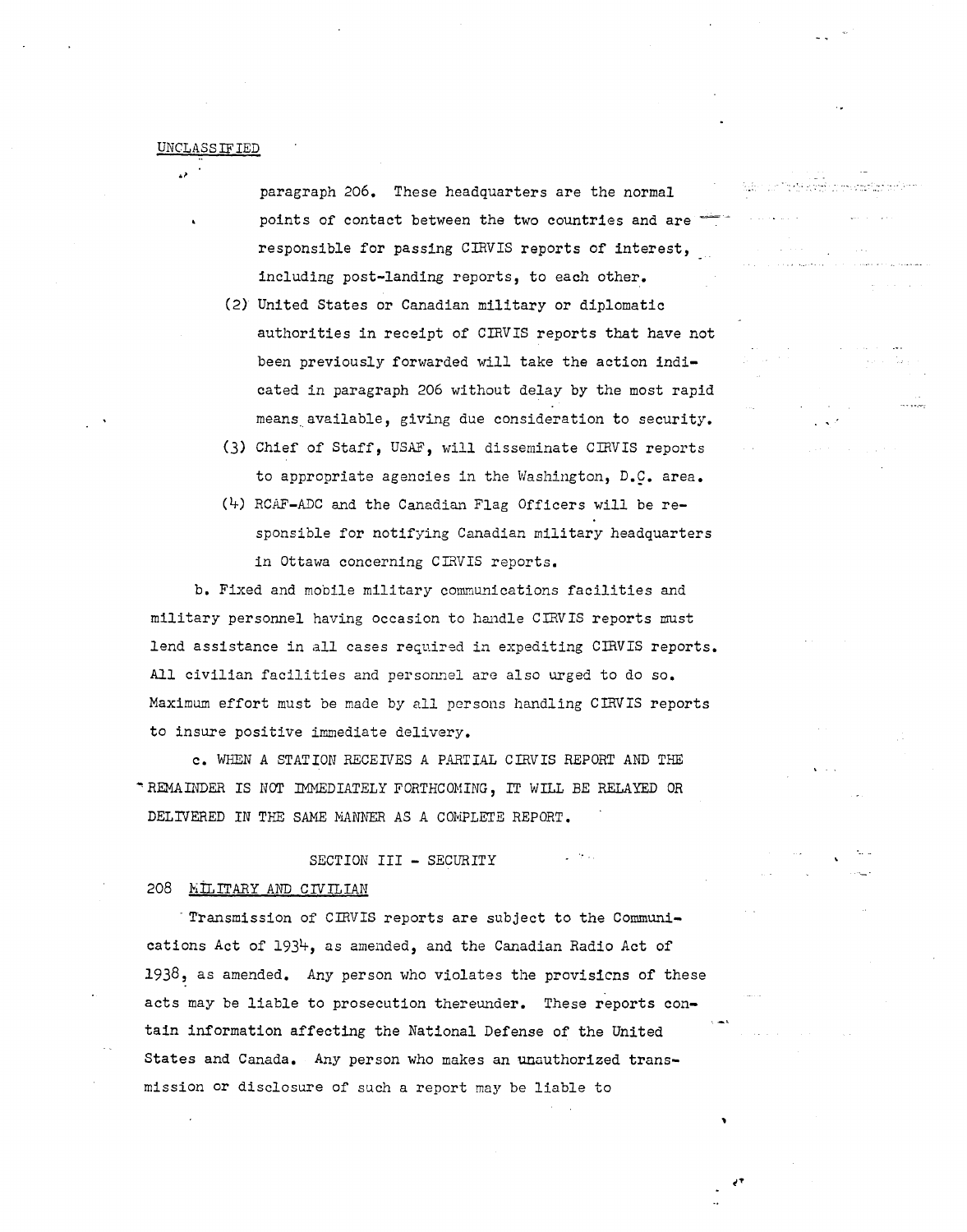paragraph 206. These headquarters are the normal points of contact between the two countries and are responsible for passing CIRVIS reports of interest, including post-landing reports, to each other.

· .. ,• ...

- (2) United States or Canadian military or diplomatic authorities in receipt of CIRVIS reports that have not been previously forwarded will take the action indicated in paragraph 206 without delay by the most rapid means.available, giving due consideration to security.
- (3) Chief of Staff, USAF, will disseminate CIRVIS reports to appropriate agencies in the Washington, *D.Q.* area.
- (4) RCAF-ADC and the Canadian Flag Officers will be responsible for notifying Canadian military headquarters in Ottawa concerning CIRVIS reports.

b. Fixed and mobile military communications facilities and military personnel having occasion to handle CIRVIS reports must lend assistance in all cases required in expediting CIRVIS reports. All civilian facilities and personnel are also urged to do so. Maximum effort must be made by all persons handling CIRVIS reports to insure positive immediate delivery.

c. WHEN A STATION RECEIVES A PARTIAL CIRVIS REPORT AND THE ... REMAL'IDER rs IWr IMMEDIATELY FORTHCOMING' IT WILL *BE* RELAYED OR DELIVERED IN THE SAME MANNER AS A COMPLETE REPORT.

# SECTION III - SECURITY

#### 208 **MILITARY AND CIVILIAN**

- Transmission of CIRVIS reports are subject to the Communications Act of 1934, as amended, and the Canadian Radio Act of 1938, as amended. Any person who violates the provis1cns of these acts may be liable to prosecution thereunder. These reports contain information affecting the National Defense of the United States and Canada. Any person who makes an unauthorized transmission or disclosure of such a report may be liable to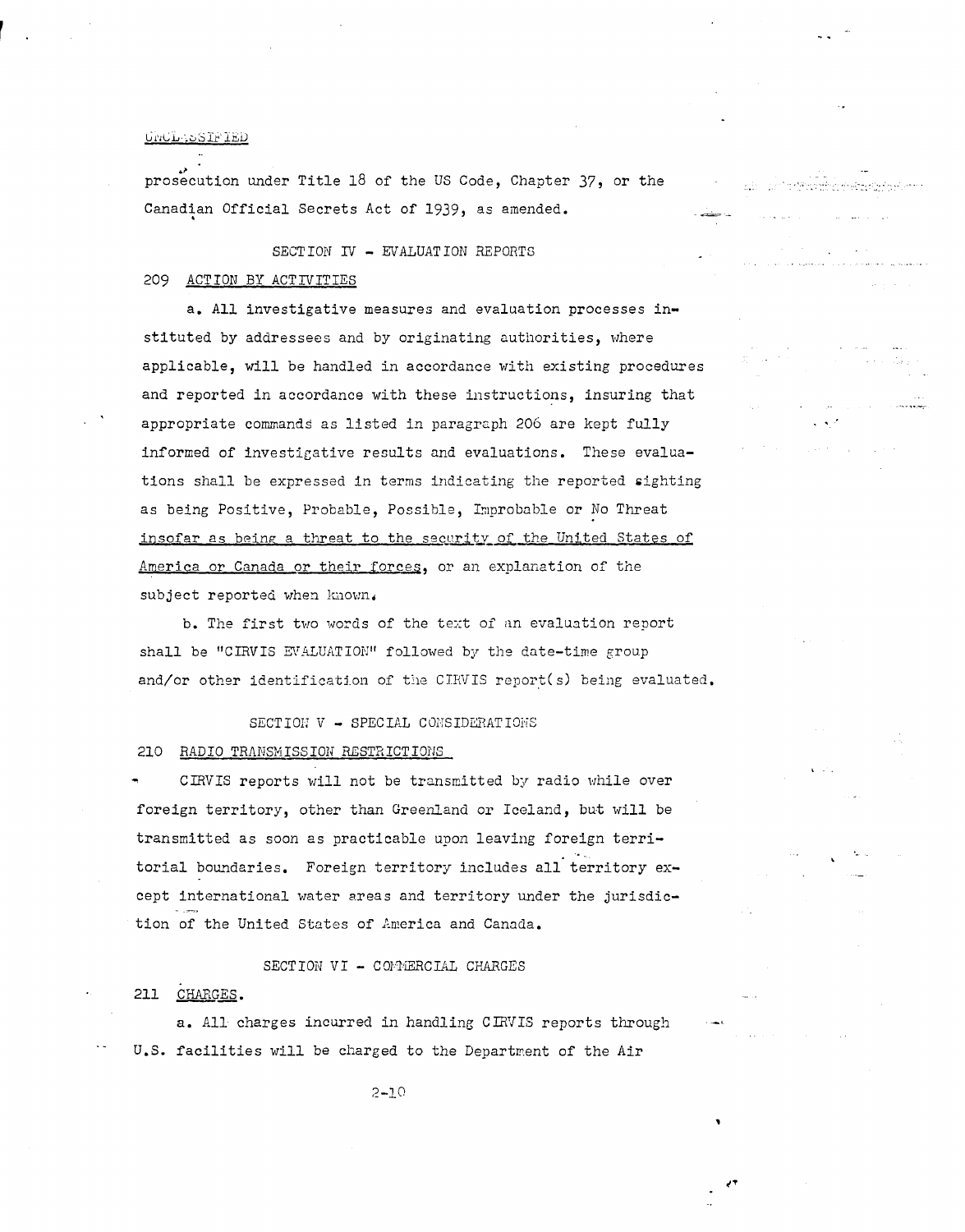prosecution under Title 18 of the US Code, Chapter 37, or the Canadian Official Secrets Act of 1939, as amended.

# SECTION IV - EVALUATION REPORTS

# 209 ACTION BY ACTIVITIES

a. All investigative measures and evaluation processes instituted by addressees and by originating authorities, where applicable, will be handled in accordance with existing procedures and reported in accordance with these instructions, insuring that appropriate commands as listed in paragraph 206 are kept fully informed of investigative results and evaluations. These evaluations shall be expressed in terms indicating the reported sighting as being Positive, Probable, Possible, Improbable or No Threat insofar as being a threat to the security of the United States of America or Canada or their forces, or an explanation of the subject reported when known.

b. The first two words of the text of an evaluation report shall be "CIRVIS EVALUATION" followed by the date-time group and/or other identification of the CIRVIS report(s) being evaluated.

SECTION V - SPECIAL CONSIDERATIONS 210 RADIO TRANSMISSION RESTRICTIONS

CIRVIS reports will not be transmitted by radio while over foreign territory, other than Greenland or Iceland, but will be transmitted as soon as practicable upon leaving foreign territorial boundaries. Foreign territory includes all territory except international water areas and territory under the jurisdiction of the United States of America and Canada.

SECTION VI - COMMERCIAL CHARGES

# 211 CHARGES.

a. All charges incurred in handling CIRVIS reports through U.S. facilities will be charged to the Department of the Air

 $2 - 10$